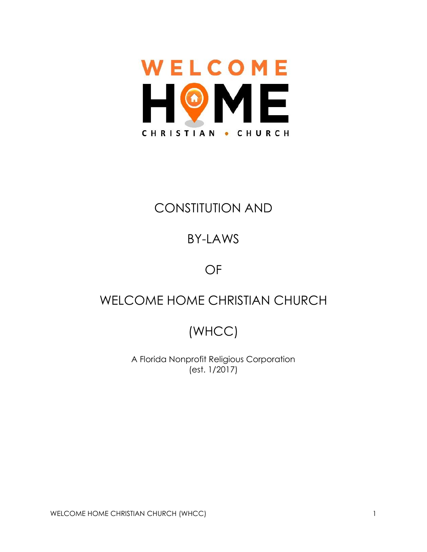

# CONSTITUTION AND

# BY-LAWS

## OF

# WELCOME HOME CHRISTIAN CHURCH

# (WHCC)

A Florida Nonprofit Religious Corporation (est. 1/2017)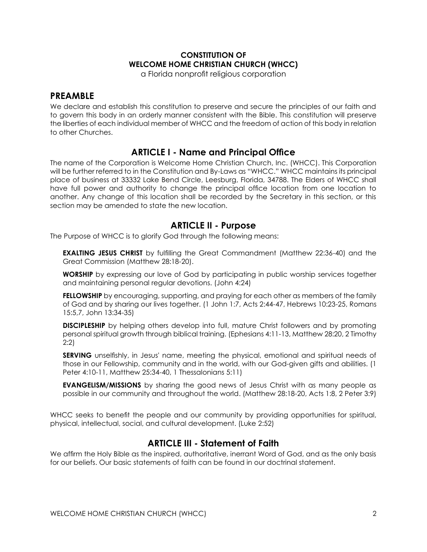## **CONSTITUTION OF WELCOME HOME CHRISTIAN CHURCH (WHCC)**

a Florida nonprofit religious corporation

## **PREAMBLE**

We declare and establish this constitution to preserve and secure the principles of our faith and to govern this body in an orderly manner consistent with the Bible. This constitution will preserve the liberties of each individual member of WHCC and the freedom of action of this body in relation to other Churches.

## **ARTICLE I - Name and Principal Office**

The name of the Corporation is Welcome Home Christian Church, Inc. (WHCC). This Corporation will be further referred to in the Constitution and By-Laws as "WHCC." WHCC maintains its principal place of business at 33332 Lake Bend Circle, Leesburg, Florida, 34788. The Elders of WHCC shall have full power and authority to change the principal office location from one location to another. Any change of this location shall be recorded by the Secretary in this section, or this section may be amended to state the new location.

## **ARTICLE II - Purpose**

The Purpose of WHCC is to glorify God through the following means:

**EXALTING JESUS CHRIST** by fulfilling the Great Commandment (Matthew 22:36-40) and the Great Commission (Matthew 28:18-20).

**WORSHIP** by expressing our love of God by participating in public worship services together and maintaining personal regular devotions. (John 4:24)

**FELLOWSHIP** by encouraging, supporting, and praying for each other as members of the family of God and by sharing our lives together. (1 John 1:7, Acts 2:44-47, Hebrews 10:23-25, Romans 15:5,7, John 13:34-35)

**DISCIPLESHIP** by helping others develop into full, mature Christ followers and by promoting personal spiritual growth through biblical training. (Ephesians 4:11-13, Matthew 28:20, 2 Timothy 2:2)

**SERVING** unselfishly, in Jesus' name, meeting the physical, emotional and spiritual needs of those in our Fellowship, community and in the world, with our God-given gifts and abilities. (1 Peter 4:10-11, Matthew 25:34-40, 1 Thessalonians 5:11)

**EVANGELISM/MISSIONS** by sharing the good news of Jesus Christ with as many people as possible in our community and throughout the world. (Matthew 28:18-20, Acts 1:8, 2 Peter 3:9)

WHCC seeks to benefit the people and our community by providing opportunities for spiritual, physical, intellectual, social, and cultural development. (Luke 2:52)

## **ARTICLE III - Statement of Faith**

We affirm the Holy Bible as the inspired, authoritative, inerrant Word of God, and as the only basis for our beliefs. Our basic statements of faith can be found in our doctrinal statement.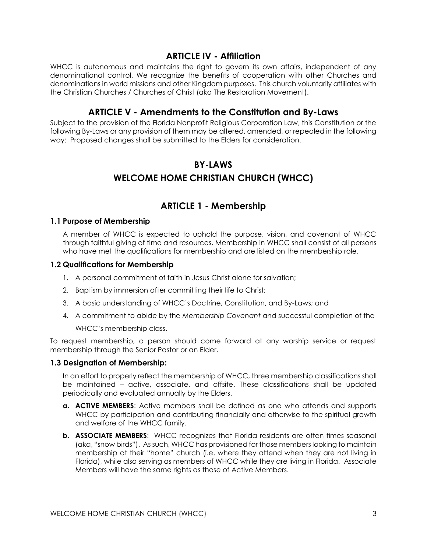## **ARTICLE IV - Affiliation**

WHCC is autonomous and maintains the right to govern its own affairs, independent of any denominational control. We recognize the benefits of cooperation with other Churches and denominations in world missions and other Kingdom purposes. This church voluntarily affiliates with the Christian Churches / Churches of Christ (aka The Restoration Movement).

## **ARTICLE V - Amendments to the Constitution and By-Laws**

Subject to the provision of the Florida Nonprofit Religious Corporation Law, this Constitution or the following By-Laws or any provision of them may be altered, amended, or repealed in the following way: Proposed changes shall be submitted to the Elders for consideration.

## **BY-LAWS WELCOME HOME CHRISTIAN CHURCH (WHCC)**

## **ARTICLE 1 - Membership**

#### **1.1 Purpose of Membership**

A member of WHCC is expected to uphold the purpose, vision, and covenant of WHCC through faithful giving of time and resources. Membership in WHCC shall consist of all persons who have met the qualifications for membership and are listed on the membership role.

#### **1.2 Qualifications for Membership**

- 1. A personal commitment of faith in Jesus Christ alone for salvation;
- 2. Baptism by immersion after committing their life to Christ;
- 3. A basic understanding of WHCC's Doctrine, Constitution, and By-Laws; and
- 4. A commitment to abide by the *Membership Covenant* and successful completion of the WHCC's membership class.

To request membership, a person should come forward at any worship service or request membership through the Senior Pastor or an Elder.

#### **1.3 Designation of Membership:**

In an effort to properly reflect the membership of WHCC, three membership classifications shall be maintained – active, associate, and offsite. These classifications shall be updated periodically and evaluated annually by the Elders.

- **a. ACTIVE MEMBERS**: Active members shall be defined as one who attends and supports WHCC by participation and contributing financially and otherwise to the spiritual growth and welfare of the WHCC family.
- **b. ASSOCIATE MEMBERS**: WHCC recognizes that Florida residents are often times seasonal (aka, "snow birds"). As such, WHCC has provisioned for those members looking to maintain membership at their "home" church (i.e. where they attend when they are not living in Florida), while also serving as members of WHCC while they are living in Florida. Associate Members will have the same rights as those of Active Members.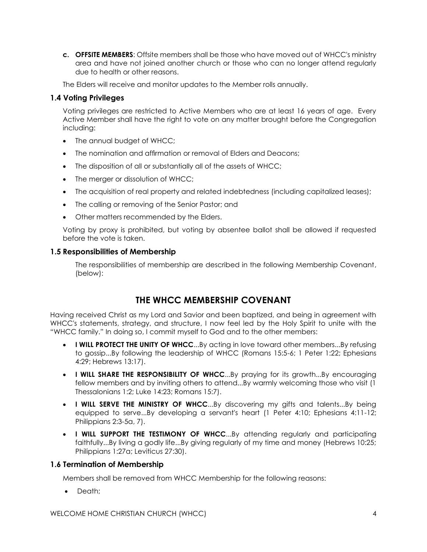**c. OFFSITE MEMBERS**: Offsite members shall be those who have moved out of WHCC's ministry area and have not joined another church or those who can no longer attend regularly due to health or other reasons.

The Elders will receive and monitor updates to the Member rolls annually.

#### **1.4 Voting Privileges**

Voting privileges are restricted to Active Members who are at least 16 years of age. Every Active Member shall have the right to vote on any matter brought before the Congregation including:

- The annual budget of WHCC;
- The nomination and affirmation or removal of Elders and Deacons;
- The disposition of all or substantially all of the assets of WHCC;
- The merger or dissolution of WHCC;
- The acquisition of real property and related indebtedness (including capitalized leases);
- The calling or removing of the Senior Pastor; and
- Other matters recommended by the Elders.

Voting by proxy is prohibited, but voting by absentee ballot shall be allowed if requested before the vote is taken.

#### **1.5 Responsibilities of Membership**

The responsibilities of membership are described in the following Membership Covenant, (below):

## **THE WHCC MEMBERSHIP COVENANT**

Having received Christ as my Lord and Savior and been baptized, and being in agreement with WHCC's statements, strategy, and structure, I now feel led by the Holy Spirit to unite with the "WHCC family." In doing so, I commit myself to God and to the other members:

- **I WILL PROTECT THE UNITY OF WHCC**...By acting in love toward other members...By refusing to gossip...By following the leadership of WHCC (Romans 15:5-6; 1 Peter 1:22; Ephesians 4:29; Hebrews 13:17).
- **I WILL SHARE THE RESPONSIBILITY OF WHCC**...By praying for its growth...By encouraging fellow members and by inviting others to attend...By warmly welcoming those who visit (1 Thessalonians 1:2; Luke 14:23; Romans 15:7).
- **I WILL SERVE THE MINISTRY OF WHCC**...By discovering my gifts and talents...By being equipped to serve...By developing a servant's heart (1 Peter 4:10; Ephesians 4:11-12; Philippians 2:3-5a, 7).
- **I WILL SUPPORT THE TESTIMONY OF WHCC**...By attending regularly and participating faithfully...By living a godly life...By giving regularly of my time and money (Hebrews 10:25; Philippians 1:27a; Leviticus 27:30).

#### **1.6 Termination of Membership**

Members shall be removed from WHCC Membership for the following reasons:

• Death: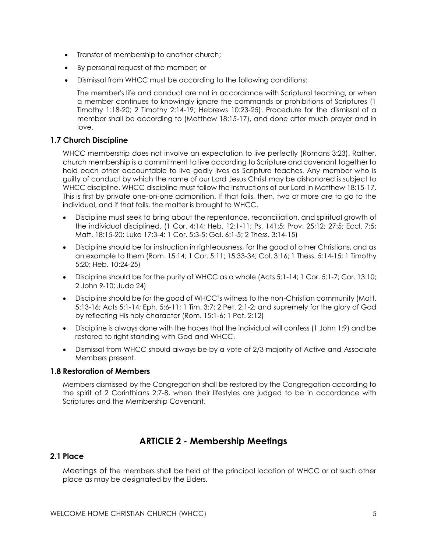- Transfer of membership to another church;
- By personal request of the member; or
- Dismissal from WHCC must be according to the following conditions:

The member's life and conduct are not in accordance with Scriptural teaching, or when a member continues to knowingly ignore the commands or prohibitions of Scriptures (1 Timothy 1:18-20; 2 Timothy 2:14-19; Hebrews 10:23-25). Procedure for the dismissal of a member shall be according to (Matthew 18:15-17), and done after much prayer and in love.

#### **1.7 Church Discipline**

WHCC membership does not involve an expectation to live perfectly (Romans 3:23). Rather, church membership is a commitment to live according to Scripture and covenant together to hold each other accountable to live godly lives as Scripture teaches. Any member who is guilty of conduct by which the name of our Lord Jesus Christ may be dishonored is subject to WHCC discipline. WHCC discipline must follow the instructions of our Lord in Matthew 18:15-17. This is first by private one-on-one admonition. If that fails, then, two or more are to go to the individual, and if that fails, the matter is brought to WHCC.

- Discipline must seek to bring about the repentance, reconciliation, and spiritual growth of the individual disciplined. (1 Cor. 4:14; Heb. 12:1-11; Ps. 141:5; Prov. 25:12; 27:5; Eccl. 7:5; Matt. 18:15-20; Luke 17:3-4; 1 Cor. 5:3-5; Gal. 6:1-5; 2 Thess. 3:14-15)
- Discipline should be for instruction in righteousness, for the good of other Christians, and as an example to them (Rom. 15:14; 1 Cor. 5:11; 15:33-34; Col. 3:16; 1 Thess. 5:14-15; 1 Timothy 5:20; Heb. 10:24-25)
- Discipline should be for the purity of WHCC as a whole (Acts 5:1-14; 1 Cor. 5:1-7; Cor. 13:10; 2 John 9-10; Jude 24)
- Discipline should be for the good of WHCC's witness to the non-Christian community (Matt. 5:13-16; Acts 5:1-14; Eph. 5:6-11; 1 Tim. 3:7; 2 Pet. 2:1-2; and supremely for the glory of God by reflecting His holy character (Rom. 15:1-6; 1 Pet. 2:12)
- Discipline is always done with the hopes that the individual will confess (1 John 1:9) and be restored to right standing with God and WHCC.
- Dismissal from WHCC should always be by a vote of 2/3 majority of Active and Associate Members present.

#### **1.8 Restoration of Members**

Members dismissed by the Congregation shall be restored by the Congregation according to the spirit of 2 Corinthians 2:7-8, when their lifestyles are judged to be in accordance with Scriptures and the Membership Covenant.

## **ARTICLE 2 - Membership Meetings**

## **2.1 Place**

Meetings of the members shall be held at the principal location of WHCC or at such other place as may be designated by the Elders.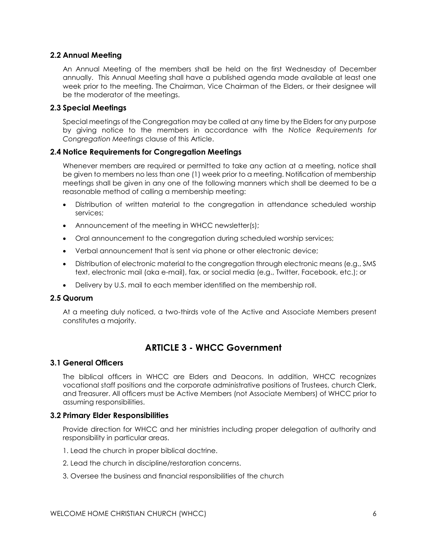#### **2.2 Annual Meeting**

An Annual Meeting of the members shall be held on the first Wednesday of December annually. This Annual Meeting shall have a published agenda made available at least one week prior to the meeting. The Chairman, Vice Chairman of the Elders, or their designee will be the moderator of the meetings.

#### **2.3 Special Meetings**

Special meetings of the Congregation may be called at any time by the Elders for any purpose by giving notice to the members in accordance with the *Notice Requirements for Congregation Meetings* clause of this Article.

#### **2.4 Notice Requirements for Congregation Meetings**

Whenever members are required or permitted to take any action at a meeting, notice shall be given to members no less than one (1) week prior to a meeting. Notification of membership meetings shall be given in any one of the following manners which shall be deemed to be a reasonable method of calling a membership meeting:

- Distribution of written material to the congregation in attendance scheduled worship services;
- Announcement of the meeting in WHCC newsletter(s);
- Oral announcement to the congregation during scheduled worship services;
- Verbal announcement that is sent via phone or other electronic device;
- Distribution of electronic material to the congregation through electronic means (e.g., SMS text, electronic mail (aka e-mail), fax, or social media (e.g., Twitter, Facebook, etc.); or
- Delivery by U.S. mail to each member identified on the membership roll.

#### **2.5 Quorum**

At a meeting duly noticed, a two-thirds vote of the Active and Associate Members present constitutes a majority.

## **ARTICLE 3 - WHCC Government**

#### **3.1 General Officers**

The biblical officers in WHCC are Elders and Deacons. In addition, WHCC recognizes vocational staff positions and the corporate administrative positions of Trustees, church Clerk, and Treasurer. All officers must be Active Members (not Associate Members) of WHCC prior to assuming responsibilities.

#### **3.2 Primary Elder Responsibilities**

Provide direction for WHCC and her ministries including proper delegation of authority and responsibility in particular areas.

- 1. Lead the church in proper biblical doctrine.
- 2. Lead the church in discipline/restoration concerns.
- 3. Oversee the business and financial responsibilities of the church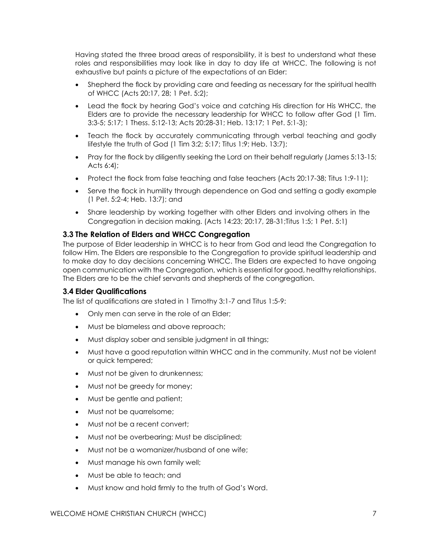Having stated the three broad areas of responsibility, it is best to understand what these roles and responsibilities may look like in day to day life at WHCC. The following is not exhaustive but paints a picture of the expectations of an Elder:

- Shepherd the flock by providing care and feeding as necessary for the spiritual health of WHCC (Acts 20:17, 28; 1 Pet. 5:2);
- Lead the flock by hearing God's voice and catching His direction for His WHCC, the Elders are to provide the necessary leadership for WHCC to follow after God (1 Tim. 3:3-5; 5:17; 1 Thess. 5:12-13; Acts 20:28-31; Heb. 13:17; 1 Pet. 5:1-3);
- Teach the flock by accurately communicating through verbal teaching and godly lifestyle the truth of God (1 Tim 3:2; 5:17; Titus 1:9; Heb. 13:7);
- Pray for the flock by diligently seeking the Lord on their behalf regularly (James 5:13-15; Acts 6:4);
- Protect the flock from false teaching and false teachers (Acts 20:17-38; Titus 1:9-11);
- Serve the flock in humility through dependence on God and setting a godly example (1 Pet. 5:2-4; Heb. 13:7); and
- Share leadership by working together with other Elders and involving others in the Congregation in decision making. (Acts 14:23; 20:17, 28-31;Titus 1:5; 1 Pet. 5:1)

#### **3.3 The Relation of Elders and WHCC Congregation**

The purpose of Elder leadership in WHCC is to hear from God and lead the Congregation to follow Him. The Elders are responsible to the Congregation to provide spiritual leadership and to make day to day decisions concerning WHCC. The Elders are expected to have ongoing open communication with the Congregation, which is essential for good, healthy relationships. The Elders are to be the chief servants and shepherds of the congregation.

#### **3.4 Elder Qualifications**

The list of qualifications are stated in 1 Timothy 3:1-7 and Titus 1:5-9:

- Only men can serve in the role of an Elder;
- Must be blameless and above reproach;
- Must display sober and sensible judgment in all things;
- Must have a good reputation within WHCC and in the community. Must not be violent or quick tempered;
- Must not be given to drunkenness;
- Must not be greedy for money;
- Must be gentle and patient;
- Must not be quarrelsome;
- Must not be a recent convert;
- Must not be overbearing; Must be disciplined;
- Must not be a womanizer/husband of one wife;
- Must manage his own family well;
- Must be able to teach; and
- Must know and hold firmly to the truth of God's Word.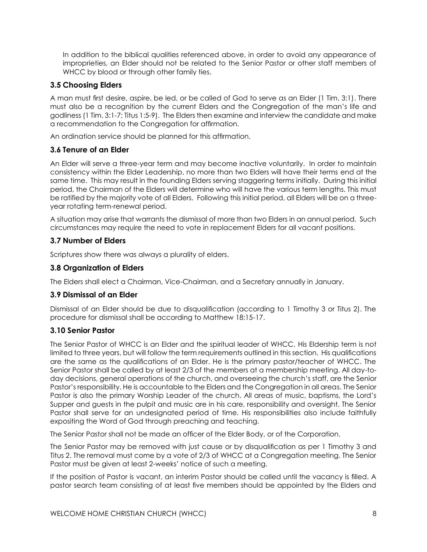In addition to the biblical qualities referenced above, in order to avoid any appearance of improprieties, an Elder should not be related to the Senior Pastor or other staff members of WHCC by blood or through other family ties.

#### **3.5 Choosing Elders**

A man must first desire, aspire, be led, or be called of God to serve as an Elder (1 Tim. 3:1). There must also be a recognition by the current Elders and the Congregation of the man's life and godliness (1 Tim. 3:1-7; Titus 1:5-9). The Elders then examine and interview the candidate and make a recommendation to the Congregation for affirmation.

An ordination service should be planned for this affirmation.

#### **3.6 Tenure of an Elder**

An Elder will serve a three-year term and may become inactive voluntarily. In order to maintain consistency within the Elder Leadership, no more than two Elders will have their terms end at the same time. This may result in the founding Elders serving staggering terms initially. During this initial period, the Chairman of the Elders will determine who will have the various term lengths. This must be ratified by the majority vote of all Elders. Following this initial period, all Elders will be on a threeyear rotating term-renewal period.

A situation may arise that warrants the dismissal of more than two Elders in an annual period. Such circumstances may require the need to vote in replacement Elders for all vacant positions.

#### **3.7 Number of Elders**

Scriptures show there was always a plurality of elders.

#### **3.8 Organization of Elders**

The Elders shall elect a Chairman, Vice-Chairman, and a Secretary annually in January.

#### **3.9 Dismissal of an Elder**

Dismissal of an Elder should be due to disqualification (according to 1 Timothy 3 or Titus 2). The procedure for dismissal shall be according to Matthew 18:15-17.

#### **3.10 Senior Pastor**

The Senior Pastor of WHCC is an Elder and the spiritual leader of WHCC. His Eldership term is not limited to three years, but will follow the term requirements outlined in this section. His qualifications are the same as the qualifications of an Elder. He is the primary pastor/teacher of WHCC. The Senior Pastor shall be called by at least 2/3 of the members at a membership meeting. All day-today decisions, general operations of the church, and overseeing the church's staff, are the Senior Pastor's responsibility. He is accountable to the Elders and the Congregation in all areas. The Senior Pastor is also the primary Worship Leader of the church. All areas of music, baptisms, the Lord's Supper and guests in the pulpit and music are in his care, responsibility and oversight. The Senior Pastor shall serve for an undesignated period of time. His responsibilities also include faithfully expositing the Word of God through preaching and teaching.

The Senior Pastor shall not be made an officer of the Elder Body, or of the Corporation.

The Senior Pastor may be removed with just cause or by disqualification as per 1 Timothy 3 and Titus 2. The removal must come by a vote of 2/3 of WHCC at a Congregation meeting. The Senior Pastor must be given at least 2-weeks' notice of such a meeting.

If the position of Pastor is vacant, an interim Pastor should be called until the vacancy is filled. A pastor search team consisting of at least five members should be appointed by the Elders and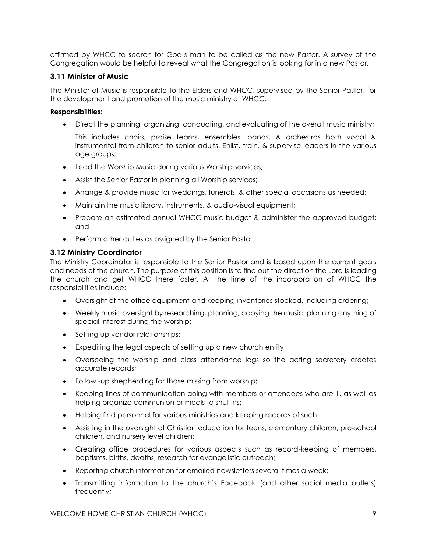affirmed by WHCC to search for God's man to be called as the new Pastor. A survey of the Congregation would be helpful to reveal what the Congregation is looking for in a new Pastor.

#### **3.11 Minister of Music**

The Minister of Music is responsible to the Elders and WHCC, supervised by the Senior Pastor, for the development and promotion of the music ministry of WHCC.

#### **Responsibilities:**

Direct the planning, organizing, conducting, and evaluating of the overall music ministry;

This includes choirs, praise teams, ensembles, bands, & orchestras both vocal & instrumental from children to senior adults. Enlist, train, & supervise leaders in the various age groups;

- Lead the Worship Music during various Worship services;
- Assist the Senior Pastor in planning all Worship services;
- Arrange & provide music for weddings, funerals, & other special occasions as needed;
- Maintain the music library, instruments, & audio-visual equipment;
- Prepare an estimated annual WHCC music budget & administer the approved budget; and
- Perform other duties as assigned by the Senior Pastor.

#### **3.12 Ministry Coordinator**

The Ministry Coordinator is responsible to the Senior Pastor and is based upon the current goals and needs of the church. The purpose of this position is to find out the direction the Lord is leading the church and get WHCC there faster. At the time of the incorporation of WHCC the responsibilities include:

- Oversight of the office equipment and keeping inventories stocked, including ordering;
- Weekly music oversight by researching, planning, copying the music, planning anything of special interest during the worship;
- Setting up vendor relationships;
- Expediting the legal aspects of setting up a new church entity;
- Overseeing the worship and class attendance logs so the acting secretary creates accurate records;
- Follow -up shepherding for those missing from worship;
- Keeping lines of communication going with members or attendees who are ill, as well as helping organize communion or meals to shut ins;
- Helping find personnel for various ministries and keeping records of such;
- Assisting in the oversight of Christian education for teens, elementary children, pre-school children, and nursery level children;
- Creating office procedures for various aspects such as record-keeping of members, baptisms, births, deaths, research for evangelistic outreach;
- Reporting church information for emailed newsletters several times a week;
- Transmitting information to the church's Facebook (and other social media outlets) frequently;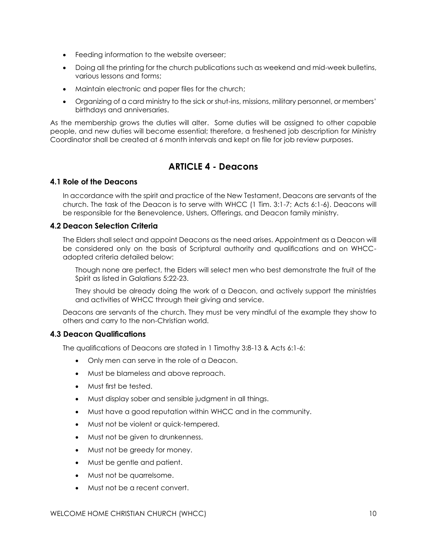- Feeding information to the website overseer;
- Doing all the printing for the church publications such as weekend and mid-week bulletins, various lessons and forms;
- Maintain electronic and paper files for the church;
- Organizing of a card ministry to the sick or shut-ins, missions, military personnel, or members' birthdays and anniversaries.

As the membership grows the duties will alter. Some duties will be assigned to other capable people, and new duties will become essential; therefore, a freshened job description for Ministry Coordinator shall be created at 6 month intervals and kept on file for job review purposes.

## **ARTICLE 4 - Deacons**

#### **4.1 Role of the Deacons**

In accordance with the spirit and practice of the New Testament, Deacons are servants of the church. The task of the Deacon is to serve with WHCC (1 Tim. 3:1-7; Acts 6:1-6). Deacons will be responsible for the Benevolence, Ushers, Offerings, and Deacon family ministry.

#### **4.2 Deacon Selection Criteria**

The Elders shall select and appoint Deacons as the need arises. Appointment as a Deacon will be considered only on the basis of Scriptural authority and qualifications and on WHCCadopted criteria detailed below:

Though none are perfect, the Elders will select men who best demonstrate the fruit of the Spirit as listed in Galatians 5:22-23.

They should be already doing the work of a Deacon, and actively support the ministries and activities of WHCC through their giving and service.

Deacons are servants of the church. They must be very mindful of the example they show to others and carry to the non-Christian world.

#### **4.3 Deacon Qualifications**

The qualifications of Deacons are stated in 1 Timothy 3:8-13 & Acts 6:1-6:

- Only men can serve in the role of a Deacon.
- Must be blameless and above reproach.
- Must first be tested.
- Must display sober and sensible judgment in all things.
- Must have a good reputation within WHCC and in the community.
- Must not be violent or quick-tempered.
- Must not be given to drunkenness.
- Must not be greedy for money.
- Must be gentle and patient.
- Must not be quarrelsome.
- Must not be a recent convert.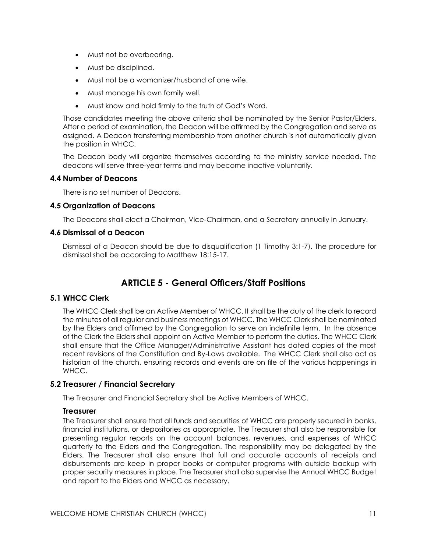- Must not be overbearing.
- Must be disciplined.
- Must not be a womanizer/husband of one wife.
- Must manage his own family well.
- Must know and hold firmly to the truth of God's Word.

Those candidates meeting the above criteria shall be nominated by the Senior Pastor/Elders. After a period of examination, the Deacon will be affirmed by the Congregation and serve as assigned. A Deacon transferring membership from another church is not automatically given the position in WHCC.

The Deacon body will organize themselves according to the ministry service needed. The deacons will serve three-year terms and may become inactive voluntarily.

#### **4.4 Number of Deacons**

There is no set number of Deacons.

#### **4.5 Organization of Deacons**

The Deacons shall elect a Chairman, Vice-Chairman, and a Secretary annually in January.

#### **4.6 Dismissal of a Deacon**

Dismissal of a Deacon should be due to disqualification (1 Timothy 3:1-7). The procedure for dismissal shall be according to Matthew 18:15-17.

## **ARTICLE 5 - General Officers/Staff Positions**

## **5.1 WHCC Clerk**

The WHCC Clerk shall be an Active Member of WHCC. It shall be the duty of the clerk to record the minutes of all regular and business meetings of WHCC. The WHCC Clerk shall be nominated by the Elders and affirmed by the Congregation to serve an indefinite term. In the absence of the Clerk the Elders shall appoint an Active Member to perform the duties. The WHCC Clerk shall ensure that the Office Manager/Administrative Assistant has dated copies of the most recent revisions of the Constitution and By-Laws available. The WHCC Clerk shall also act as historian of the church, ensuring records and events are on file of the various happenings in WHCC.

#### **5.2 Treasurer / Financial Secretary**

The Treasurer and Financial Secretary shall be Active Members of WHCC.

#### **Treasurer**

The Treasurer shall ensure that all funds and securities of WHCC are properly secured in banks, financial institutions, or depositories as appropriate. The Treasurer shall also be responsible for presenting regular reports on the account balances, revenues, and expenses of WHCC quarterly to the Elders and the Congregation. The responsibility may be delegated by the Elders. The Treasurer shall also ensure that full and accurate accounts of receipts and disbursements are keep in proper books or computer programs with outside backup with proper security measures in place. The Treasurer shall also supervise the Annual WHCC Budget and report to the Elders and WHCC as necessary.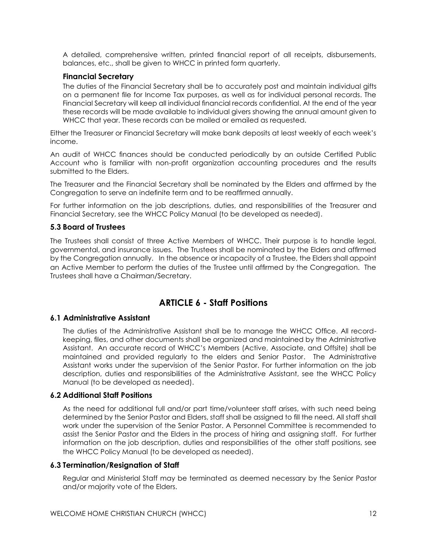A detailed, comprehensive written, printed financial report of all receipts, disbursements, balances, etc., shall be given to WHCC in printed form quarterly.

#### **Financial Secretary**

The duties of the Financial Secretary shall be to accurately post and maintain individual gifts on a permanent file for Income Tax purposes, as well as for individual personal records. The Financial Secretary will keep all individual financial records confidential. At the end of the year these records will be made available to individual givers showing the annual amount given to WHCC that year. These records can be mailed or emailed as requested.

Either the Treasurer or Financial Secretary will make bank deposits at least weekly of each week's income.

An audit of WHCC finances should be conducted periodically by an outside Certified Public Account who is familiar with non-profit organization accounting procedures and the results submitted to the Elders.

The Treasurer and the Financial Secretary shall be nominated by the Elders and affirmed by the Congregation to serve an indefinite term and to be reaffirmed annually.

For further information on the job descriptions, duties, and responsibilities of the Treasurer and Financial Secretary, see the WHCC Policy Manual (to be developed as needed).

#### **5.3 Board of Trustees**

The Trustees shall consist of three Active Members of WHCC. Their purpose is to handle legal, governmental, and insurance issues. The Trustees shall be nominated by the Elders and affirmed by the Congregation annually. In the absence or incapacity of a Trustee, the Elders shall appoint an Active Member to perform the duties of the Trustee until affirmed by the Congregation. The Trustees shall have a Chairman/Secretary.

## **ARTICLE 6 - Staff Positions**

#### **6.1 Administrative Assistant**

The duties of the Administrative Assistant shall be to manage the WHCC Office. All recordkeeping, files, and other documents shall be organized and maintained by the Administrative Assistant. An accurate record of WHCC's Members (Active, Associate, and Offsite) shall be maintained and provided regularly to the elders and Senior Pastor. The Administrative Assistant works under the supervision of the Senior Pastor. For further information on the job description, duties and responsibilities of the Administrative Assistant, see the WHCC Policy Manual (to be developed as needed).

#### **6.2 Additional Staff Positions**

As the need for additional full and/or part time/volunteer staff arises, with such need being determined by the Senior Pastor and Elders, staff shall be assigned to fill the need. All staff shall work under the supervision of the Senior Pastor. A Personnel Committee is recommended to assist the Senior Pastor and the Elders in the process of hiring and assigning staff. For further information on the job description, duties and responsibilities of the other staff positions, see the WHCC Policy Manual (to be developed as needed).

#### **6.3 Termination/Resignation of Staff**

Regular and Ministerial Staff may be terminated as deemed necessary by the Senior Pastor and/or majority vote of the Elders.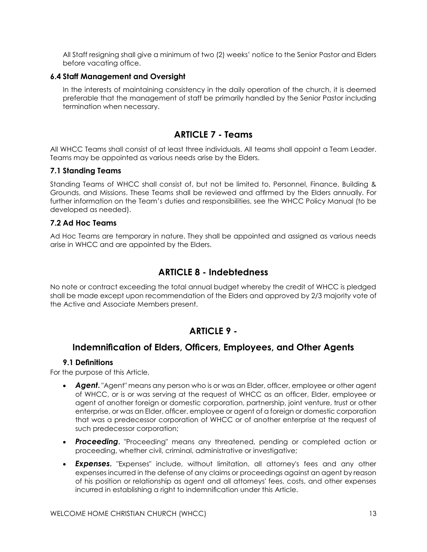All Staff resigning shall give a minimum of two (2) weeks' notice to the Senior Pastor and Elders before vacating office.

#### **6.4 Staff Management and Oversight**

In the interests of maintaining consistency in the daily operation of the church, it is deemed preferable that the management of staff be primarily handled by the Senior Pastor including termination when necessary.

## **ARTICLE 7 - Teams**

All WHCC Teams shall consist of at least three individuals. All teams shall appoint a Team Leader. Teams may be appointed as various needs arise by the Elders.

#### **7.1 Standing Teams**

Standing Teams of WHCC shall consist of, but not be limited to, Personnel, Finance, Building & Grounds, and Missions. These Teams shall be reviewed and affirmed by the Elders annually. For further information on the Team's duties and responsibilities, see the WHCC Policy Manual (to be developed as needed).

#### **7.2 Ad Hoc Teams**

Ad Hoc Teams are temporary in nature. They shall be appointed and assigned as various needs arise in WHCC and are appointed by the Elders.

## **ARTICLE 8 - Indebtedness**

No note or contract exceeding the total annual budget whereby the credit of WHCC is pledged shall be made except upon recommendation of the Elders and approved by 2/3 majority vote of the Active and Associate Members present.

## **ARTICLE 9 -**

## **Indemnification of Elders, Officers, Employees, and Other Agents**

#### **9.1 Definitions**

For the purpose of this Article,

- *Agent***.** "Agent" means any person who is or was an Elder, officer, employee or other agent of WHCC, or is or was serving at the request of WHCC as an officer, Elder, employee or agent of another foreign or domestic corporation, partnership, joint venture, trust or other enterprise, or was an Elder, officer, employee or agent of a foreign or domestic corporation that was a predecessor corporation of WHCC or of another enterprise at the request of such predecessor corporation;
- *Proceeding***.** "Proceeding" means any threatened, pending or completed action or proceeding, whether civil, criminal, administrative or investigative;
- *Expenses***.** "Expenses" include, without limitation, all attorney's fees and any other expenses incurred in the defense of any claims or proceedings against an agent by reason of his position or relationship as agent and all attorneys' fees, costs, and other expenses incurred in establishing a right to indemnification under this Article.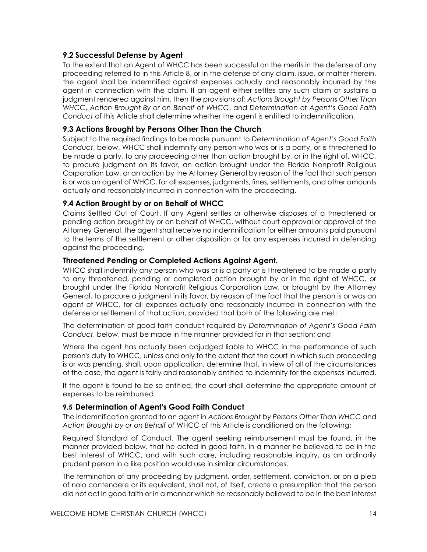#### **9.2 Successful Defense by Agent**

To the extent that an Agent of WHCC has been successful on the merits in the defense of any proceeding referred to in this Article 8, or in the defense of any claim, issue, or matter therein, the agent shall be indemnified against expenses actually and reasonably incurred by the agent in connection with the claim. If an agent either settles any such claim or sustains a judgment rendered against him, then the provisions of: *Actions Brought by Persons Other Than WHCC*, *Action Brought By or on Behalf of WHCC*, and *Determination of Agent's Good Faith Conduct* of this Article shall determine whether the agent is entitled to indemnification.

#### **9.3 Actions Brought by Persons Other Than the Church**

Subject to the required findings to be made pursuant to *Determination of Agent's Good Faith Conduct*, below, WHCC shall indemnify any person who was or is a party, or is threatened to be made a party, to any proceeding other than action brought by, or in the right of, WHCC, to procure judgment on its favor, an action brought under the Florida Nonprofit Religious Corporation Law, or an action by the Attorney General by reason of the fact that such person is or was an agent of WHCC, for all expenses, judgments, fines, settlements, and other amounts actually and reasonably incurred in connection with the proceeding.

#### **9.4 Action Brought by or on Behalf of WHCC**

Claims Settled Out of Court. If any Agent settles or otherwise disposes of a threatened or pending action brought by or on behalf of WHCC, without court approval or approval of the Attorney General, the agent shall receive no indemnification for either amounts paid pursuant to the terms of the settlement or other disposition or for any expenses incurred in defending against the proceeding.

#### **Threatened Pending or Completed Actions Against Agent.**

WHCC shall indemnify any person who was or is a party or is threatened to be made a party to any threatened, pending or completed action brought by or in the right of WHCC, or brought under the Florida Nonprofit Religious Corporation Law, or brought by the Attorney General, to procure a judgment in its favor, by reason of the fact that the person is or was an agent of WHCC, for all expenses actually and reasonably incurred in connection with the defense or settlement of that action, provided that both of the following are met:

The determination of good faith conduct required by *Determination of Agent's Good Faith Conduct*, below, must be made in the manner provided for in that section; and

Where the agent has actually been adjudged liable to WHCC in the performance of such person's duty to WHCC, unless and only to the extent that the court in which such proceeding is or was pending, shall, upon application, determine that, in view of all of the circumstances of the case, the agent is fairly and reasonably entitled to indemnity for the expenses incurred.

If the agent is found to be so entitled, the court shall determine the appropriate amount of expenses to be reimbursed.

#### **9.5 Determination of Agent's Good Faith Conduct**

The indemnification granted to an agent in *Actions Brought by Persons Other Than WHCC* and *Action Brought by or on Behalf of* WHCC of this Article is conditioned on the following:

Required Standard of Conduct. The agent seeking reimbursement must be found, in the manner provided below, that he acted in good faith, in a manner he believed to be in the best interest of WHCC, and with such care, including reasonable inquiry, as an ordinarily prudent person in a like position would use in similar circumstances.

The termination of any proceeding by judgment, order, settlement, conviction, or on a plea of nolo contendere or its equivalent, shall not, of itself, create a presumption that the person did not act in good faith or in a manner which he reasonably believed to be in the best interest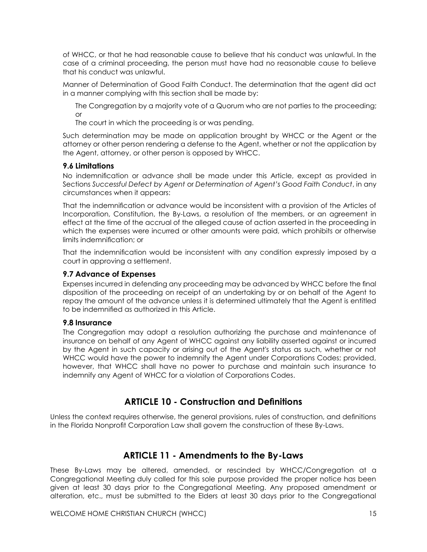of WHCC, or that he had reasonable cause to believe that his conduct was unlawful. In the case of a criminal proceeding, the person must have had no reasonable cause to believe that his conduct was unlawful.

Manner of Determination of Good Faith Conduct. The determination that the agent did act in a manner complying with this section shall be made by:

The Congregation by a majority vote of a Quorum who are not parties to the proceeding; or

The court in which the proceeding is or was pending.

Such determination may be made on application brought by WHCC or the Agent or the attorney or other person rendering a defense to the Agent, whether or not the application by the Agent, attorney, or other person is opposed by WHCC.

#### **9.6 Limitations**

No indemnification or advance shall be made under this Article, except as provided in Sections *Successful Defect by Agent* or *Determination of Agent's Good Faith Conduct*, in any circumstances when it appears:

That the indemnification or advance would be inconsistent with a provision of the Articles of Incorporation, Constitution, the By-Laws, a resolution of the members, or an agreement in effect at the time of the accrual of the alleged cause of action asserted in the proceeding in which the expenses were incurred or other amounts were paid, which prohibits or otherwise limits indemnification; or

That the indemnification would be inconsistent with any condition expressly imposed by a court in approving a settlement.

#### **9.7 Advance of Expenses**

Expenses incurred in defending any proceeding may be advanced by WHCC before the final disposition of the proceeding on receipt of an undertaking by or on behalf of the Agent to repay the amount of the advance unless it is determined ultimately that the Agent is entitled to be indemnified as authorized in this Article.

#### **9.8 Insurance**

The Congregation may adopt a resolution authorizing the purchase and maintenance of insurance on behalf of any Agent of WHCC against any liability asserted against or incurred by the Agent in such capacity or arising out of the Agent's status as such, whether or not WHCC would have the power to indemnify the Agent under Corporations Codes; provided, however, that WHCC shall have no power to purchase and maintain such insurance to indemnify any Agent of WHCC for a violation of Corporations Codes.

## **ARTICLE 10 - Construction and Definitions**

Unless the context requires otherwise, the general provisions, rules of construction, and definitions in the Florida Nonprofit Corporation Law shall govern the construction of these By-Laws.

## **ARTICLE 11 - Amendments to the By-Laws**

These By-Laws may be altered, amended, or rescinded by WHCC/Congregation at a Congregational Meeting duly called for this sole purpose provided the proper notice has been given at least 30 days prior to the Congregational Meeting. Any proposed amendment or alteration, etc., must be submitted to the Elders at least 30 days prior to the Congregational

WELCOME HOME CHRISTIAN CHURCH (WHCC) 15